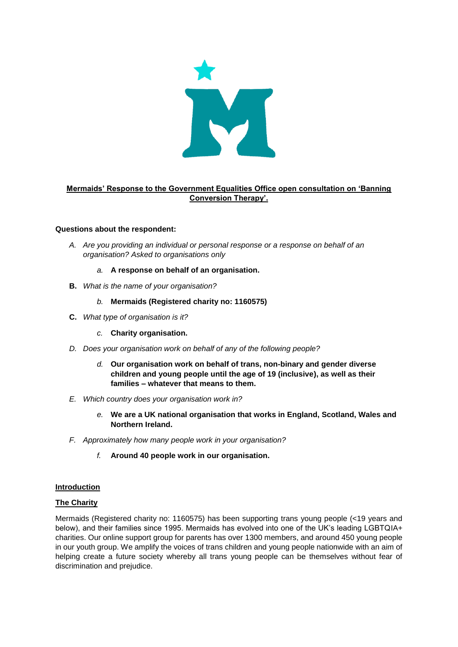

## **Mermaids' Response to the Government Equalities Office open consultation on 'Banning Conversion Therapy'.**

### **Questions about the respondent:**

- *A. Are you providing an individual or personal response or a response on behalf of an organisation? Asked to organisations only*
	- *a.* **A response on behalf of an organisation.**
- **B.** *What is the name of your organisation?* 
	- *b.* **Mermaids (Registered charity no: 1160575)**
- **C.** *What type of organisation is it?* 
	- *c.* **Charity organisation.**
- *D. Does your organisation work on behalf of any of the following people?* 
	- *d.* **Our organisation work on behalf of trans, non-binary and gender diverse children and young people until the age of 19 (inclusive), as well as their families – whatever that means to them.**
- *E. Which country does your organisation work in?* 
	- *e.* **We are a UK national organisation that works in England, Scotland, Wales and Northern Ireland.**
- *F. Approximately how many people work in your organisation?*
	- *f.* **Around 40 people work in our organisation.**

## **Introduction**

# **The Charity**

Mermaids (Registered charity no: 1160575) has been supporting trans young people (<19 years and below), and their families since 1995. Mermaids has evolved into one of the UK's leading LGBTQIA+ charities. Our online support group for parents has over 1300 members, and around 450 young people in our youth group. We amplify the voices of trans children and young people nationwide with an aim of helping create a future society whereby all trans young people can be themselves without fear of discrimination and prejudice.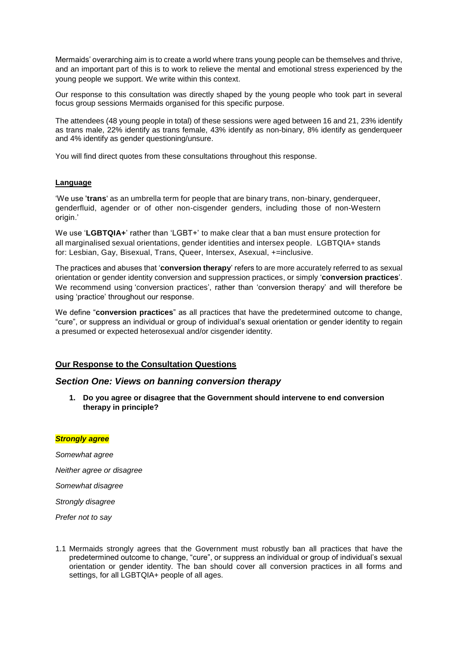Mermaids' overarching aim is to create a world where trans young people can be themselves and thrive, and an important part of this is to work to relieve the mental and emotional stress experienced by the young people we support. We write within this context.

Our response to this consultation was directly shaped by the young people who took part in several focus group sessions Mermaids organised for this specific purpose.

The attendees (48 young people in total) of these sessions were aged between 16 and 21, 23% identify as trans male, 22% identify as trans female, 43% identify as non-binary, 8% identify as genderqueer and 4% identify as gender questioning/unsure.

You will find direct quotes from these consultations throughout this response.

### **Language**

'We use '**trans**' as an umbrella term for people that are binary trans, non-binary, genderqueer, genderfluid, agender or of other non-cisgender genders, including those of non-Western origin.'

We use 'LGBTQIA+' rather than 'LGBT+' to make clear that a ban must ensure protection for all marginalised sexual orientations, gender identities and intersex people. LGBTQIA+ stands for: Lesbian, Gay, Bisexual, Trans, Queer, Intersex, Asexual, +=inclusive.

The practices and abuses that '**conversion therapy**' refers to are more accurately referred to as sexual orientation or gender identity conversion and suppression practices, or simply '**conversion practices**'. We recommend using 'conversion practices', rather than 'conversion therapy' and will therefore be using 'practice' throughout our response.

We define "**conversion practices**" as all practices that have the predetermined outcome to change, "cure", or suppress an individual or group of individual's sexual orientation or gender identity to regain a presumed or expected heterosexual and/or cisgender identity.

## **Our Response to the Consultation Questions**

## *Section One: Views on banning conversion therapy*

**1. Do you agree or disagree that the Government should intervene to end conversion therapy in principle?**

#### *Strongly agree*

*Somewhat agree Neither agree or disagree Somewhat disagree Strongly disagree Prefer not to say*

1.1 Mermaids strongly agrees that the Government must robustly ban all practices that have the predetermined outcome to change, "cure", or suppress an individual or group of individual's sexual orientation or gender identity. The ban should cover all conversion practices in all forms and settings, for all LGBTQIA+ people of all ages.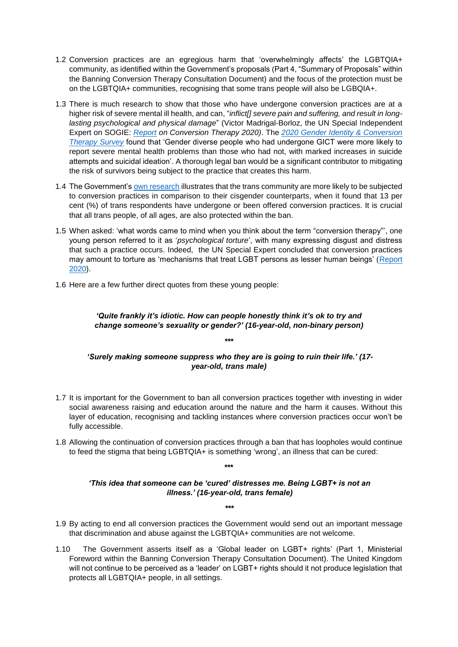- 1.2 Conversion practices are an egregious harm that 'overwhelmingly affects' the LGBTQIA+ community, as identified within the Government's proposals (Part 4, "Summary of Proposals" within the Banning Conversion Therapy Consultation Document) and the focus of the protection must be on the LGBTQIA+ communities, recognising that some trans people will also be LGBQIA+.
- 1.3 There is much research to show that those who have undergone conversion practices are at a higher risk of severe mental ill health, and can, "*inflict[] severe pain and suffering, and result in longlasting psychological and physical damage*" (Victor Madrigal-Borloz, the UN Special Independent Expert on SOGIE: *[Report](https://www.ohchr.org/Documents/Issues/SexualOrientation/ConversionTherapyReport.pdf) on Conversion Therapy 2020)*. The *[2020 Gender Identity & Conversion](https://www.stonewall.org.uk/system/files/2020_conversion_therapy_and_gender_identity_survey.pdf)  [Therapy](https://www.stonewall.org.uk/system/files/2020_conversion_therapy_and_gender_identity_survey.pdf) Survey* found that 'Gender diverse people who had undergone GICT were more likely to report severe mental health problems than those who had not, with marked increases in suicide attempts and suicidal ideation'. A thorough legal ban would be a significant contributor to mitigating the risk of survivors being subject to the practice that creates this harm.
- 1.4 The Government's [own research](https://assets.publishing.service.gov.uk/government/uploads/system/uploads/attachment_data/file/721704/LGBT-survey-research-report.pdf) illustrates that the trans community are more likely to be subjected to conversion practices in comparison to their cisgender counterparts, when it found that 13 per cent (%) of trans respondents have undergone or been offered conversion practices. It is crucial that all trans people, of all ages, are also protected within the ban.
- 1.5 When asked: 'what words came to mind when you think about the term "conversion therapy"', one young person referred to it as '*psychological torture*', with many expressing disgust and distress that such a practice occurs. Indeed, the UN Special Expert concluded that conversion practices may amount to torture as 'mechanisms that treat LGBT persons as lesser human beings' [\(Report](https://www.ohchr.org/Documents/Issues/SexualOrientation/ConversionTherapyReport.pdf)  [2020\)](https://www.ohchr.org/Documents/Issues/SexualOrientation/ConversionTherapyReport.pdf).
- 1.6 Here are a few further direct quotes from these young people:

# *'Quite frankly it's idiotic. How can people honestly think it's ok to try and change someone's sexuality or gender?' (16-year-old, non-binary person)*

*\*\*\**

# *'Surely making someone suppress who they are is going to ruin their life.' (17 year-old, trans male)*

- 1.7 It is important for the Government to ban all conversion practices together with investing in wider social awareness raising and education around the nature and the harm it causes. Without this layer of education, recognising and tackling instances where conversion practices occur won't be fully accessible.
- 1.8 Allowing the continuation of conversion practices through a ban that has loopholes would continue to feed the stigma that being LGBTQIA+ is something 'wrong', an illness that can be cured:

**\*\*\***

# *'This idea that someone can be 'cured' distresses me. Being LGBT+ is not an illness.' (16-year-old, trans female)*

- 1.9 By acting to end all conversion practices the Government would send out an important message that discrimination and abuse against the LGBTQIA+ communities are not welcome.
- 1.10 The Government asserts itself as a 'Global leader on LGBT+ rights' (Part 1, Ministerial Foreword within the Banning Conversion Therapy Consultation Document). The United Kingdom will not continue to be perceived as a 'leader' on LGBT+ rights should it not produce legislation that protects all LGBTQIA+ people, in all settings.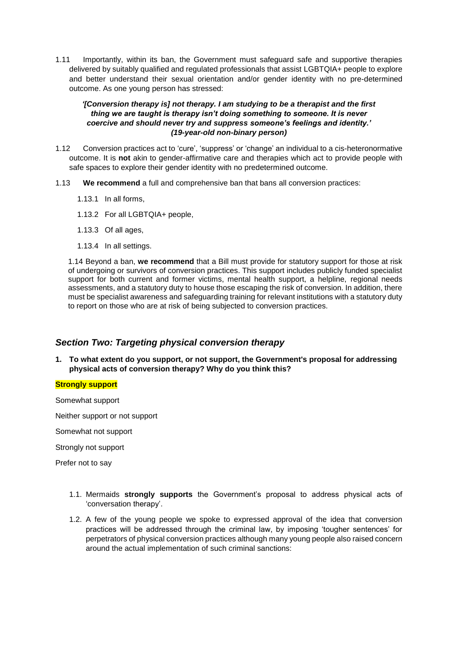1.11 Importantly, within its ban, the Government must safeguard safe and supportive therapies delivered by suitably qualified and regulated professionals that assist LGBTQIA+ people to explore and better understand their sexual orientation and/or gender identity with no pre-determined outcome. As one young person has stressed:

## *'[Conversion therapy is] not therapy. I am studying to be a therapist and the first thing we are taught is therapy isn't doing something to someone. It is never coercive and should never try and suppress someone's feelings and identity.' (19-year-old non-binary person)*

- 1.12 Conversion practices act to 'cure', 'suppress' or 'change' an individual to a cis-heteronormative outcome. It is **not** akin to gender-affirmative care and therapies which act to provide people with safe spaces to explore their gender identity with no predetermined outcome.
- 1.13 **We recommend** a full and comprehensive ban that bans all conversion practices:
	- 1.13.1 In all forms,
	- 1.13.2 For all LGBTQIA+ people,
	- 1.13.3 Of all ages,
	- 1.13.4 In all settings.

1.14 Beyond a ban, **we recommend** that a Bill must provide for statutory support for those at risk of undergoing or survivors of conversion practices. This support includes publicly funded specialist support for both current and former victims, mental health support, a helpline, regional needs assessments, and a statutory duty to house those escaping the risk of conversion. In addition, there must be specialist awareness and safeguarding training for relevant institutions with a statutory duty to report on those who are at risk of being subjected to conversion practices.

# *Section Two: Targeting physical conversion therapy*

**1. To what extent do you support, or not support, the Government's proposal for addressing physical acts of conversion therapy? Why do you think this?** 

### **Strongly support**

Somewhat support

Neither support or not support

Somewhat not support

Strongly not support

Prefer not to say

- 1.1. Mermaids **strongly supports** the Government's proposal to address physical acts of 'conversation therapy'.
- 1.2. A few of the young people we spoke to expressed approval of the idea that conversion practices will be addressed through the criminal law, by imposing 'tougher sentences' for perpetrators of physical conversion practices although many young people also raised concern around the actual implementation of such criminal sanctions: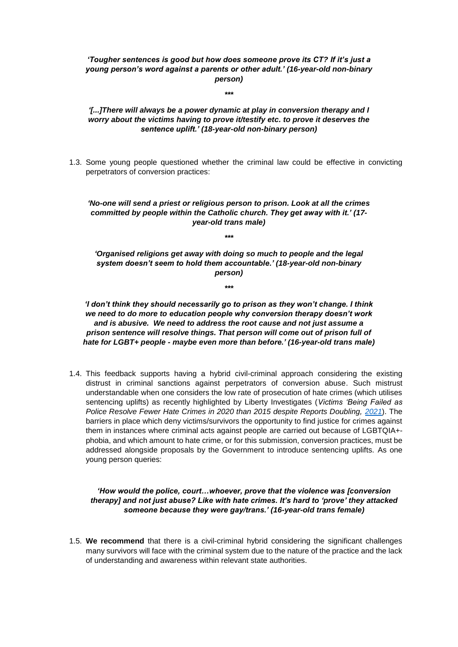## *'Tougher sentences is good but how does someone prove its CT? If it's just a young person's word against a parents or other adult.' (16-year-old non-binary person)*

*\*\*\**

## *'[...]There will always be a power dynamic at play in conversion therapy and I worry about the victims having to prove it/testify etc. to prove it deserves the sentence uplift.' (18-year-old non-binary person)*

1.3. Some young people questioned whether the criminal law could be effective in convicting perpetrators of conversion practices:

### *'No-one will send a priest or religious person to prison. Look at all the crimes committed by people within the Catholic church. They get away with it.' (17 year-old trans male)*

*\*\*\**

*'Organised religions get away with doing so much to people and the legal system doesn't seem to hold them accountable.' (18-year-old non-binary person)*

*\*\*\**

*'I don't think they should necessarily go to prison as they won't change. I think we need to do more to education people why conversion therapy doesn't work and is abusive. We need to address the root cause and not just assume a prison sentence will resolve things. That person will come out of prison full of hate for LGBT+ people - maybe even more than before.' (16-year-old trans male)*

1.4. This feedback supports having a hybrid civil-criminal approach considering the existing distrust in criminal sanctions against perpetrators of conversion abuse. Such mistrust understandable when one considers the low rate of prosecution of hate crimes (which utilises sentencing uplifts) as recently highlighted by Liberty Investigates (*Victims 'Being Failed as Police Resolve Fewer Hate Crimes in 2020 than 2015 despite Reports Doubling, [2021](https://libertyinvestigates.org.uk/articles/victims-being-failed-as-police-resolve-fewer-hate-crimes-in-2020-than-2015-despite-reports-doubling/)*). The barriers in place which deny victims/survivors the opportunity to find justice for crimes against them in instances where criminal acts against people are carried out because of LGBTQIA+ phobia, and which amount to hate crime, or for this submission, conversion practices, must be addressed alongside proposals by the Government to introduce sentencing uplifts. As one young person queries:

## *'How would the police, court…whoever, prove that the violence was [conversion therapy] and not just abuse? Like with hate crimes. It's hard to 'prove' they attacked someone because they were gay/trans.' (16-year-old trans female)*

1.5. **We recommend** that there is a civil-criminal hybrid considering the significant challenges many survivors will face with the criminal system due to the nature of the practice and the lack of understanding and awareness within relevant state authorities.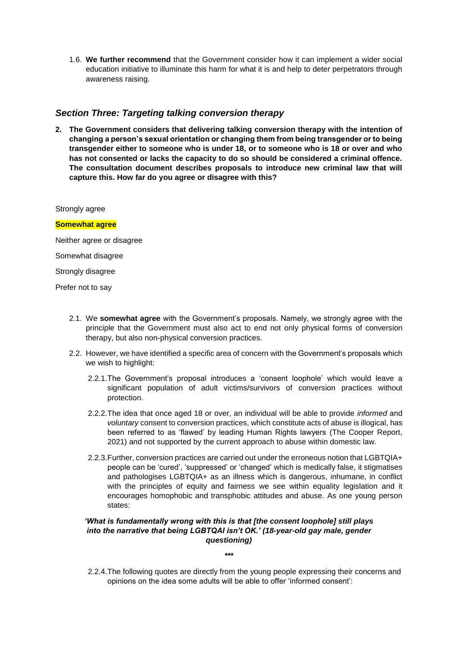1.6. **We further recommend** that the Government consider how it can implement a wider social education initiative to illuminate this harm for what it is and help to deter perpetrators through awareness raising.

# *Section Three: Targeting talking conversion therapy*

**2. The Government considers that delivering talking conversion therapy with the intention of changing a person's sexual orientation or changing them from being transgender or to being transgender either to someone who is under 18, or to someone who is 18 or over and who has not consented or lacks the capacity to do so should be considered a criminal offence. The consultation document describes proposals to introduce new criminal law that will capture this. How far do you agree or disagree with this?**

Strongly agree

#### **Somewhat agree**

Neither agree or disagree

Somewhat disagree

Strongly disagree

Prefer not to say

- 2.1. We **somewhat agree** with the Government's proposals. Namely, we strongly agree with the principle that the Government must also act to end not only physical forms of conversion therapy, but also non-physical conversion practices.
- 2.2. However, we have identified a specific area of concern with the Government's proposals which we wish to highlight:
	- 2.2.1.The Government's proposal introduces a 'consent loophole' which would leave a significant population of adult victims/survivors of conversion practices without protection.
	- 2.2.2.The idea that once aged 18 or over, an individual will be able to provide *informed* and *voluntary* consent to conversion practices, which constitute acts of abuse is illogical, has been referred to as 'flawed' by leading Human Rights lawyers (The Cooper Report, 2021) and not supported by the current approach to abuse within domestic law.
	- 2.2.3.Further, conversion practices are carried out under the erroneous notion that LGBTQIA+ people can be 'cured', 'suppressed' or 'changed' which is medically false, it stigmatises and pathologises LGBTQIA+ as an illness which is dangerous, inhumane, in conflict with the principles of equity and fairness we see within equality legislation and it encourages homophobic and transphobic attitudes and abuse. As one young person states:

## *'What is fundamentally wrong with this is that [the consent loophole] still plays into the narrative that being LGBTQAI isn't OK.' (18-year-old gay male, gender questioning)*

*\*\*\**

2.2.4.The following quotes are directly from the young people expressing their concerns and opinions on the idea some adults will be able to offer 'informed consent':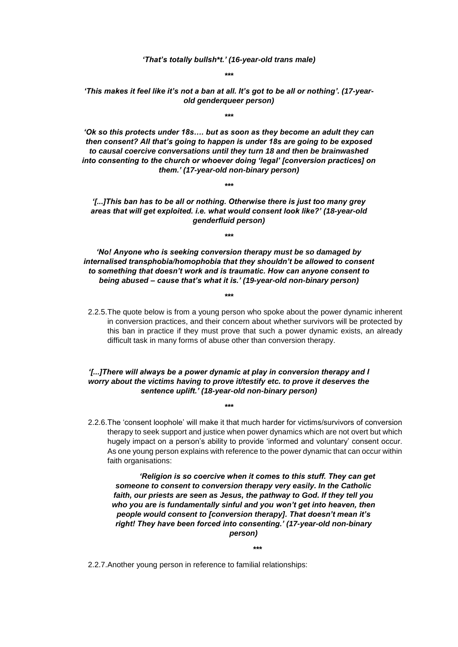*'That's totally bullsh\*t.' (16-year-old trans male)*

*\*\*\**

*'This makes it feel like it's not a ban at all. It's got to be all or nothing'. (17-yearold genderqueer person)*

*\*\*\**

*'Ok so this protects under 18s…. but as soon as they become an adult they can then consent? All that's going to happen is under 18s are going to be exposed to causal coercive conversations until they turn 18 and then be brainwashed into consenting to the church or whoever doing 'legal' [conversion practices] on them.' (17-year-old non-binary person)*

*\*\*\**

*'[...]This ban has to be all or nothing. Otherwise there is just too many grey areas that will get exploited. i.e. what would consent look like?' (18-year-old genderfluid person)*

*\*\*\**

*'No! Anyone who is seeking conversion therapy must be so damaged by internalised transphobia/homophobia that they shouldn't be allowed to consent to something that doesn't work and is traumatic. How can anyone consent to being abused – cause that's what it is.' (19-year-old non-binary person)*

*\*\*\**

2.2.5.The quote below is from a young person who spoke about the power dynamic inherent in conversion practices, and their concern about whether survivors will be protected by this ban in practice if they must prove that such a power dynamic exists, an already difficult task in many forms of abuse other than conversion therapy.

### *'[...]There will always be a power dynamic at play in conversion therapy and I worry about the victims having to prove it/testify etc. to prove it deserves the sentence uplift.' (18-year-old non-binary person)*

*\*\*\**

2.2.6.The 'consent loophole' will make it that much harder for victims/survivors of conversion therapy to seek support and justice when power dynamics which are not overt but which hugely impact on a person's ability to provide 'informed and voluntary' consent occur. As one young person explains with reference to the power dynamic that can occur within faith organisations:

*'Religion is so coercive when it comes to this stuff. They can get someone to consent to conversion therapy very easily. In the Catholic faith, our priests are seen as Jesus, the pathway to God. If they tell you who you are is fundamentally sinful and you won't get into heaven, then people would consent to [conversion therapy]. That doesn't mean it's right! They have been forced into consenting.' (17-year-old non-binary person)*

*\*\*\**

2.2.7.Another young person in reference to familial relationships: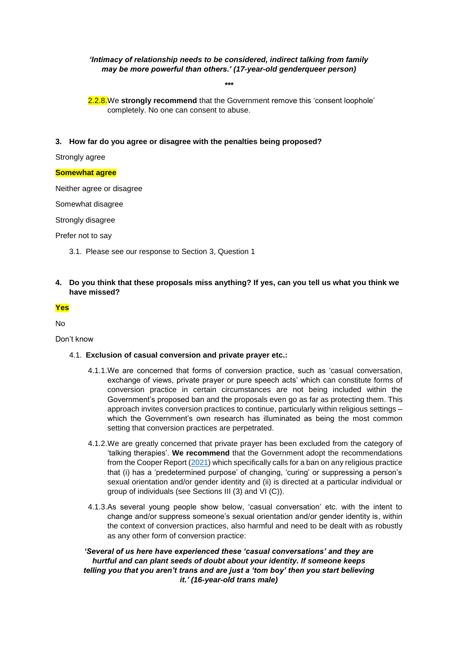## *'Intimacy of relationship needs to be considered, indirect talking from family may be more powerful than others.' (17-year-old genderqueer person)*

*\*\*\**

2.2.8.We **strongly recommend** that the Government remove this 'consent loophole' completely. No one can consent to abuse.

**3. How far do you agree or disagree with the penalties being proposed?** 

Strongly agree

#### **Somewhat agree**

Neither agree or disagree

Somewhat disagree

Strongly disagree

Prefer not to say

- 3.1. Please see our response to Section 3, Question 1
- **4. Do you think that these proposals miss anything? If yes, can you tell us what you think we have missed?**

#### **Yes**

No

Don't know

- 4.1. **Exclusion of casual conversion and private prayer etc.:**
	- 4.1.1.We are concerned that forms of conversion practice, such as 'casual conversation, exchange of views, private prayer or pure speech acts' which can constitute forms of conversion practice in certain circumstances are not being included within the Government's proposed ban and the proposals even go as far as protecting them. This approach invites conversion practices to continue, particularly within religious settings – which the Government's own research has illuminated as being the most common setting that conversion practices are perpetrated.
	- 4.1.2.We are greatly concerned that private prayer has been excluded from the category of 'talking therapies'. **We recommend** that the Government adopt the recommendations from the Cooper Report [\(2021\)](https://www.ozanne.foundation/cooper_report/) which specifically calls for a ban on any religious practice that (i) has a 'predetermined purpose' of changing, 'curing' or suppressing a person's sexual orientation and/or gender identity and (ii) is directed at a particular individual or group of individuals (see Sections III (3) and VI (C)).
	- 4.1.3.As several young people show below, 'casual conversation' etc. with the intent to change and/or suppress someone's sexual orientation and/or gender identity is, within the context of conversion practices, also harmful and need to be dealt with as robustly as any other form of conversion practice:

*'Several of us here have experienced these 'casual conversations' and they are hurtful and can plant seeds of doubt about your identity. If someone keeps telling you that you aren't trans and are just a 'tom boy' then you start believing it.' (16-year-old trans male)*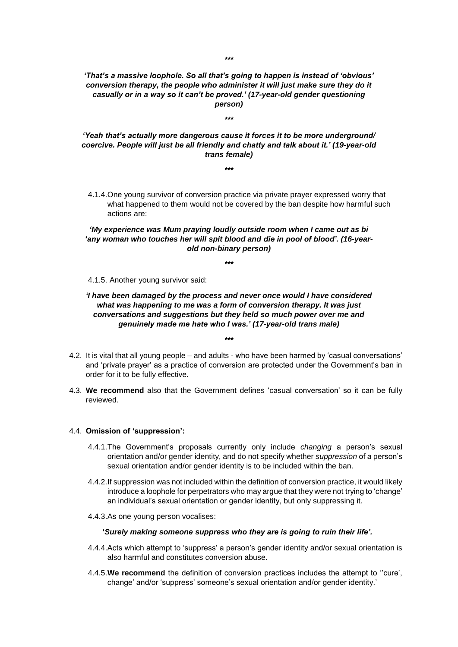### *'That's a massive loophole. So all that's going to happen is instead of 'obvious' conversion therapy, the people who administer it will just make sure they do it casually or in a way so it can't be proved.' (17-year-old gender questioning person)*

*\*\*\**

*'Yeah that's actually more dangerous cause it forces it to be more underground/ coercive. People will just be all friendly and chatty and talk about it.' (19-year-old trans female)*

- *\*\*\**
- 4.1.4.One young survivor of conversion practice via private prayer expressed worry that what happened to them would not be covered by the ban despite how harmful such actions are:

### *'My experience was Mum praying loudly outside room when I came out as bi 'any woman who touches her will spit blood and die in pool of blood'. (16-yearold non-binary person)*

*\*\*\**

4.1.5. Another young survivor said:

### *'I have been damaged by the process and never once would I have considered what was happening to me was a form of conversion therapy. It was just conversations and suggestions but they held so much power over me and genuinely made me hate who I was.' (17-year-old trans male)*

*\*\*\**

- 4.2. It is vital that all young people and adults who have been harmed by 'casual conversations' and 'private prayer' as a practice of conversion are protected under the Government's ban in order for it to be fully effective.
- 4.3. **We recommend** also that the Government defines 'casual conversation' so it can be fully reviewed.

#### 4.4. **Omission of 'suppression':**

- 4.4.1.The Government's proposals currently only include *changing* a person's sexual orientation and/or gender identity, and do not specify whether *suppression* of a person's sexual orientation and/or gender identity is to be included within the ban.
- 4.4.2.If suppression was not included within the definition of conversion practice, it would likely introduce a loophole for perpetrators who may argue that they were not trying to 'change' an individual's sexual orientation or gender identity, but only suppressing it.
- 4.4.3.As one young person vocalises:

#### **'***Surely making someone suppress who they are is going to ruin their life'.*

- 4.4.4.Acts which attempt to 'suppress' a person's gender identity and/or sexual orientation is also harmful and constitutes conversion abuse.
- 4.4.5.**We recommend** the definition of conversion practices includes the attempt to ''cure', change' and/or 'suppress' someone's sexual orientation and/or gender identity.'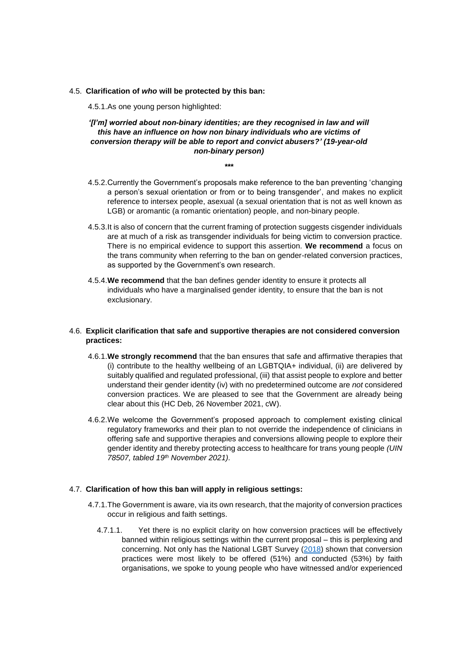#### 4.5. **Clarification of** *who* **will be protected by this ban:**

4.5.1.As one young person highlighted:

## *'[I'm] worried about non-binary identities; are they recognised in law and will this have an influence on how non binary individuals who are victims of conversion therapy will be able to report and convict abusers?' (19-year-old non-binary person)*

*\*\*\**

- 4.5.2.Currently the Government's proposals make reference to the ban preventing 'changing a person's sexual orientation or from or to being transgender', and makes no explicit reference to intersex people, asexual (a sexual orientation that is not as well known as LGB) or aromantic (a romantic orientation) people, and non-binary people.
- 4.5.3.It is also of concern that the current framing of protection suggests cisgender individuals are at much of a risk as transgender individuals for being victim to conversion practice. There is no empirical evidence to support this assertion. **We recommend** a focus on the trans community when referring to the ban on gender-related conversion practices, as supported by the Government's own research.
- 4.5.4.**We recommend** that the ban defines gender identity to ensure it protects all individuals who have a marginalised gender identity, to ensure that the ban is not exclusionary.

## 4.6. **Explicit clarification that safe and supportive therapies are not considered conversion practices:**

- 4.6.1.**We strongly recommend** that the ban ensures that safe and affirmative therapies that (i) contribute to the healthy wellbeing of an LGBTQIA+ individual, (ii) are delivered by suitably qualified and regulated professional, (iii) that assist people to explore and better understand their gender identity (iv) with no predetermined outcome are *not* considered conversion practices. We are pleased to see that the Government are already being clear about this (HC Deb, 26 November 2021, cW).
- 4.6.2.We welcome the Government's proposed approach to complement existing clinical regulatory frameworks and their plan to not override the independence of clinicians in offering safe and supportive therapies and conversions allowing people to explore their gender identity and thereby protecting access to healthcare for trans young people *(UIN 78507, tabled 19th November 2021).*

## 4.7. **Clarification of how this ban will apply in religious settings:**

- 4.7.1.The Government is aware, via its own research, that the majority of conversion practices occur in religious and faith settings.
	- 4.7.1.1. Yet there is no explicit clarity on how conversion practices will be effectively banned within religious settings within the current proposal – this is perplexing and concerning. Not only has the National LGBT Survey [\(2018\)](https://assets.publishing.service.gov.uk/government/uploads/system/uploads/attachment_data/file/721704/LGBT-survey-research-report.pdf) shown that conversion practices were most likely to be offered (51%) and conducted (53%) by faith organisations, we spoke to young people who have witnessed and/or experienced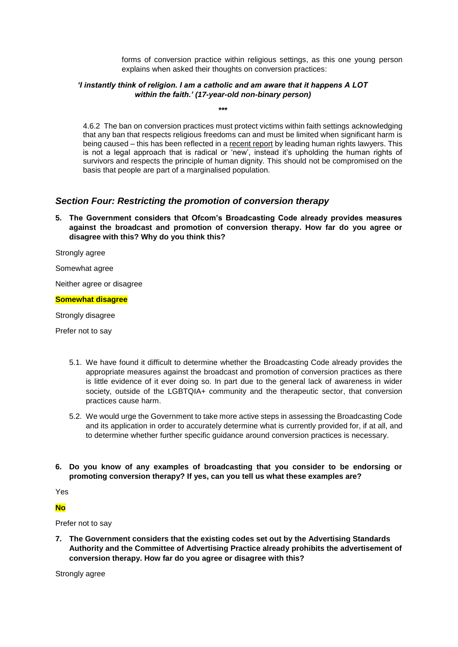forms of conversion practice within religious settings, as this one young person explains when asked their thoughts on conversion practices:

## *'I instantly think of religion. I am a catholic and am aware that it happens A LOT within the faith.' (17-year-old non-binary person)*

*\*\*\**

4.6.2 The ban on conversion practices must protect victims within faith settings acknowledging that any ban that respects religious freedoms can and must be limited when significant harm is being caused – this has been reflected in a [recent report](https://www.ozanne.foundation/media/the-cooper-report/) by leading human rights lawyers. This is not a legal approach that is radical or 'new', instead it's upholding the human rights of survivors and respects the principle of human dignity. This should not be compromised on the basis that people are part of a marginalised population.

# *Section Four: Restricting the promotion of conversion therapy*

**5. The Government considers that Ofcom's Broadcasting Code already provides measures against the broadcast and promotion of conversion therapy. How far do you agree or disagree with this? Why do you think this?**

Strongly agree

Somewhat agree

Neither agree or disagree

#### **Somewhat disagree**

Strongly disagree

Prefer not to say

- 5.1. We have found it difficult to determine whether the Broadcasting Code already provides the appropriate measures against the broadcast and promotion of conversion practices as there is little evidence of it ever doing so. In part due to the general lack of awareness in wider society, outside of the LGBTQIA+ community and the therapeutic sector, that conversion practices cause harm.
- 5.2. We would urge the Government to take more active steps in assessing the Broadcasting Code and its application in order to accurately determine what is currently provided for, if at all, and to determine whether further specific guidance around conversion practices is necessary.
- **6. Do you know of any examples of broadcasting that you consider to be endorsing or promoting conversion therapy? If yes, can you tell us what these examples are?**

Yes

**No**

Prefer not to say

**7. The Government considers that the existing codes set out by the Advertising Standards Authority and the Committee of Advertising Practice already prohibits the advertisement of conversion therapy. How far do you agree or disagree with this?**

Strongly agree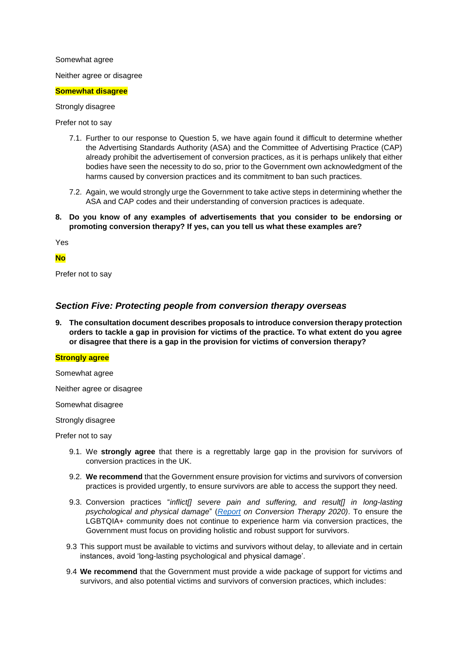#### Somewhat agree

Neither agree or disagree

#### **Somewhat disagree**

Strongly disagree

Prefer not to say

- 7.1. Further to our response to Question 5, we have again found it difficult to determine whether the Advertising Standards Authority (ASA) and the Committee of Advertising Practice (CAP) already prohibit the advertisement of conversion practices, as it is perhaps unlikely that either bodies have seen the necessity to do so, prior to the Government own acknowledgment of the harms caused by conversion practices and its commitment to ban such practices.
- 7.2. Again, we would strongly urge the Government to take active steps in determining whether the ASA and CAP codes and their understanding of conversion practices is adequate.
- **8. Do you know of any examples of advertisements that you consider to be endorsing or promoting conversion therapy? If yes, can you tell us what these examples are?**

Yes

### **No**

Prefer not to say

## *Section Five: Protecting people from conversion therapy overseas*

**9. The consultation document describes proposals to introduce conversion therapy protection orders to tackle a gap in provision for victims of the practice. To what extent do you agree or disagree that there is a gap in the provision for victims of conversion therapy?** 

#### **Strongly agree**

Somewhat agree

Neither agree or disagree

Somewhat disagree

Strongly disagree

Prefer not to say

- 9.1. We **strongly agree** that there is a regrettably large gap in the provision for survivors of conversion practices in the UK.
- 9.2. **We recommend** that the Government ensure provision for victims and survivors of conversion practices is provided urgently, to ensure survivors are able to access the support they need.
- 9.3. Conversion practices "*inflict[] severe pain and suffering, and result[] in long-lasting psychological and physical damage*" (*[Report](https://www.ohchr.org/Documents/Issues/SexualOrientation/ConversionTherapyReport.pdf) on Conversion Therapy 2020)*. To ensure the LGBTQIA+ community does not continue to experience harm via conversion practices, the Government must focus on providing holistic and robust support for survivors.
- 9.3 This support must be available to victims and survivors without delay, to alleviate and in certain instances, avoid 'long-lasting psychological and physical damage'.
- 9.4 **We recommend** that the Government must provide a wide package of support for victims and survivors, and also potential victims and survivors of conversion practices, which includes: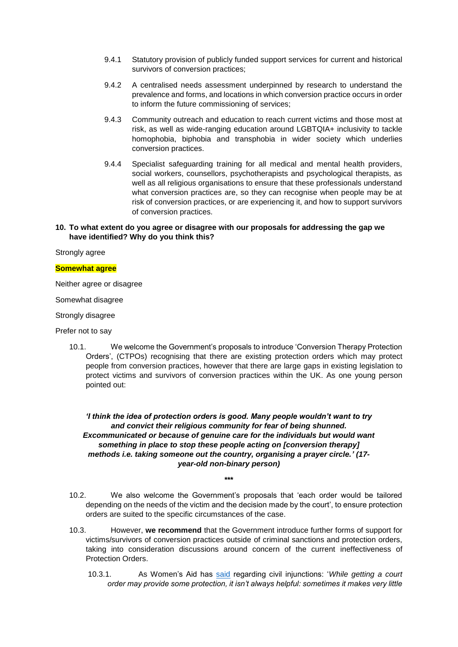- 9.4.1 Statutory provision of publicly funded support services for current and historical survivors of conversion practices;
- 9.4.2 A centralised needs assessment underpinned by research to understand the prevalence and forms, and locations in which conversion practice occurs in order to inform the future commissioning of services;
- 9.4.3 Community outreach and education to reach current victims and those most at risk, as well as wide-ranging education around LGBTQIA+ inclusivity to tackle homophobia, biphobia and transphobia in wider society which underlies conversion practices.
- 9.4.4 Specialist safeguarding training for all medical and mental health providers, social workers, counsellors, psychotherapists and psychological therapists, as well as all religious organisations to ensure that these professionals understand what conversion practices are, so they can recognise when people may be at risk of conversion practices, or are experiencing it, and how to support survivors of conversion practices.

### **10. To what extent do you agree or disagree with our proposals for addressing the gap we have identified? Why do you think this?**

#### Strongly agree

#### **Somewhat agree**

Neither agree or disagree

Somewhat disagree

Strongly disagree

Prefer not to say

10.1. We welcome the Government's proposals to introduce 'Conversion Therapy Protection Orders', (CTPOs) recognising that there are existing protection orders which may protect people from conversion practices, however that there are large gaps in existing legislation to protect victims and survivors of conversion practices within the UK. As one young person pointed out:

### *'I think the idea of protection orders is good. Many people wouldn't want to try and convict their religious community for fear of being shunned. Excommunicated or because of genuine care for the individuals but would want something in place to stop these people acting on [conversion therapy] methods i.e. taking someone out the country, organising a prayer circle.' (17 year-old non-binary person)*

- 10.2. We also welcome the Government's proposals that 'each order would be tailored depending on the needs of the victim and the decision made by the court', to ensure protection orders are suited to the specific circumstances of the case.
- 10.3. However, **we recommend** that the Government introduce further forms of support for victims/survivors of conversion practices outside of criminal sanctions and protection orders, taking into consideration discussions around concern of the current ineffectiveness of Protection Orders.
	- 10.3.1. As Women's Aid has [said](https://www.womensaid.org.uk/the-survivors-handbook/getting-an-injunction/) regarding civil injunctions: '*While getting a court order may provide some protection, it isn't always helpful: sometimes it makes very little*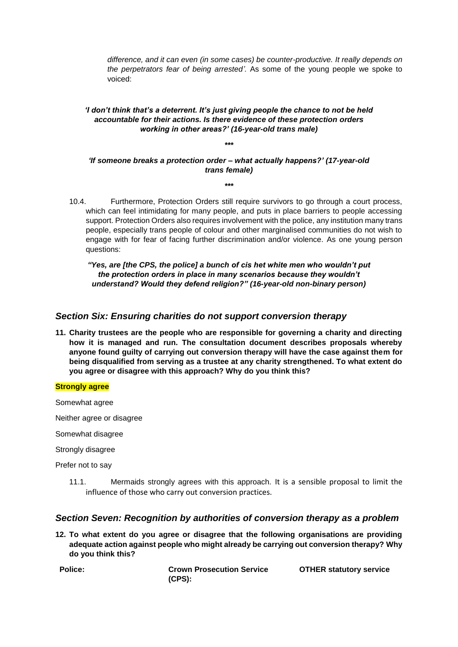*difference, and it can even (in some cases) be counter-productive. It really depends on the perpetrators fear of being arrested'.* As some of the young people we spoke to voiced:

## *'I don't think that's a deterrent. It's just giving people the chance to not be held accountable for their actions. Is there evidence of these protection orders working in other areas?' (16-year-old trans male)*

*\*\*\**

*'If someone breaks a protection order – what actually happens?' (17-year-old trans female)*

*\*\*\**

10.4. Furthermore, Protection Orders still require survivors to go through a court process, which can feel intimidating for many people, and puts in place barriers to people accessing support. Protection Orders also requires involvement with the police, any institution many trans people, especially trans people of colour and other marginalised communities do not wish to engage with for fear of facing further discrimination and/or violence. As one young person questions:

*"Yes, are [the CPS, the police] a bunch of cis het white men who wouldn't put the protection orders in place in many scenarios because they wouldn't understand? Would they defend religion?" (16-year-old non-binary person)*

# *Section Six: Ensuring charities do not support conversion therapy*

**11. Charity trustees are the people who are responsible for governing a charity and directing how it is managed and run. The consultation document describes proposals whereby anyone found guilty of carrying out conversion therapy will have the case against them for being disqualified from serving as a trustee at any charity strengthened. To what extent do you agree or disagree with this approach? Why do you think this?** 

#### **Strongly agree**

Somewhat agree

Neither agree or disagree

Somewhat disagree

Strongly disagree

Prefer not to say

11.1. Mermaids strongly agrees with this approach. It is a sensible proposal to limit the influence of those who carry out conversion practices.

# *Section Seven: Recognition by authorities of conversion therapy as a problem*

**12. To what extent do you agree or disagree that the following organisations are providing adequate action against people who might already be carrying out conversion therapy? Why do you think this?** 

**Police: Crown Prosecution Service (CPS):**

**OTHER statutory service**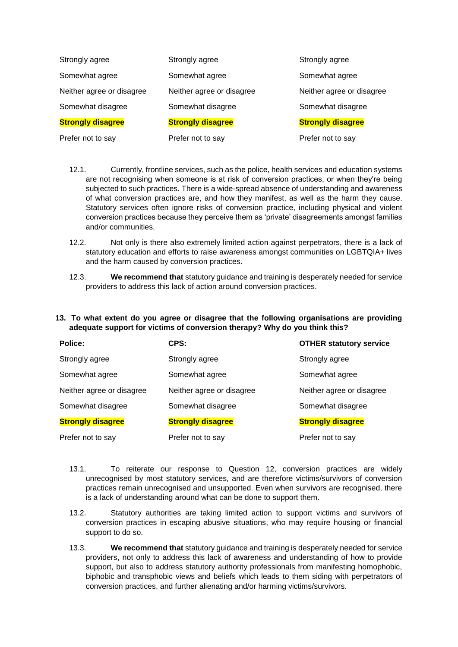| Strongly agree            | Strongly agree            | Strongly agree            |
|---------------------------|---------------------------|---------------------------|
| Somewhat agree            | Somewhat agree            | Somewhat agree            |
| Neither agree or disagree | Neither agree or disagree | Neither agree or disagree |
| Somewhat disagree         | Somewhat disagree         | Somewhat disagree         |
| <b>Strongly disagree</b>  | <b>Strongly disagree</b>  | <b>Strongly disagree</b>  |
| Prefer not to say         | Prefer not to say         | Prefer not to say         |

- 12.1. Currently, frontline services, such as the police, health services and education systems are not recognising when someone is at risk of conversion practices, or when they're being subjected to such practices. There is a wide-spread absence of understanding and awareness of what conversion practices are, and how they manifest, as well as the harm they cause. Statutory services often ignore risks of conversion practice, including physical and violent conversion practices because they perceive them as 'private' disagreements amongst families and/or communities.
- 12.2. Not only is there also extremely limited action against perpetrators, there is a lack of statutory education and efforts to raise awareness amongst communities on LGBTQIA+ lives and the harm caused by conversion practices.
- 12.3. **We recommend that** statutory guidance and training is desperately needed for service providers to address this lack of action around conversion practices.
- **13. To what extent do you agree or disagree that the following organisations are providing adequate support for victims of conversion therapy? Why do you think this?**

| Police:                   | CPS:                      | <b>OTHER statutory service</b> |
|---------------------------|---------------------------|--------------------------------|
| Strongly agree            | Strongly agree            | Strongly agree                 |
| Somewhat agree            | Somewhat agree            | Somewhat agree                 |
| Neither agree or disagree | Neither agree or disagree | Neither agree or disagree      |
| Somewhat disagree         | Somewhat disagree         | Somewhat disagree              |
| <b>Strongly disagree</b>  | <b>Strongly disagree</b>  | <b>Strongly disagree</b>       |
| Prefer not to say         | Prefer not to say         | Prefer not to say              |

- 13.1. To reiterate our response to Question 12, conversion practices are widely unrecognised by most statutory services, and are therefore victims/survivors of conversion practices remain unrecognised and unsupported. Even when survivors are recognised, there is a lack of understanding around what can be done to support them.
- 13.2. Statutory authorities are taking limited action to support victims and survivors of conversion practices in escaping abusive situations, who may require housing or financial support to do so.
- 13.3. **We recommend that** statutory guidance and training is desperately needed for service providers, not only to address this lack of awareness and understanding of how to provide support, but also to address statutory authority professionals from manifesting homophobic, biphobic and transphobic views and beliefs which leads to them siding with perpetrators of conversion practices, and further alienating and/or harming victims/survivors.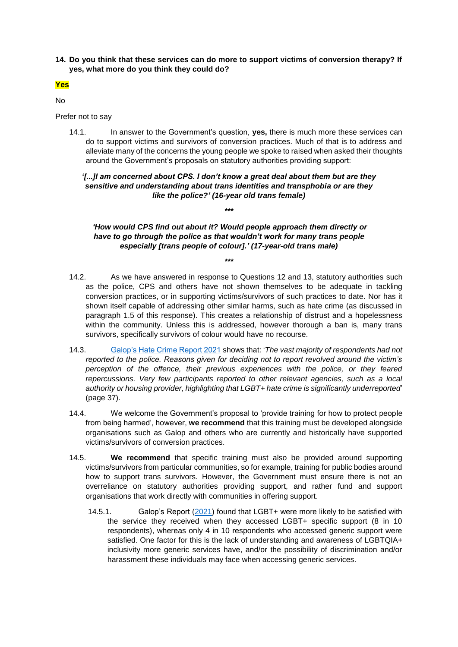**14. Do you think that these services can do more to support victims of conversion therapy? If yes, what more do you think they could do?**

## **Yes**

No

Prefer not to say

14.1. In answer to the Government's question, **yes,** there is much more these services can do to support victims and survivors of conversion practices. Much of that is to address and alleviate many of the concerns the young people we spoke to raised when asked their thoughts around the Government's proposals on statutory authorities providing support:

### *'[...]I am concerned about CPS. I don't know a great deal about them but are they sensitive and understanding about trans identities and transphobia or are they like the police?' (16-year old trans female)*

*\*\*\**

*'How would CPS find out about it? Would people approach them directly or have to go through the police as that wouldn't work for many trans people especially [trans people of colour].' (17-year-old trans male)*

- 14.2. As we have answered in response to Questions 12 and 13, statutory authorities such as the police, CPS and others have not shown themselves to be adequate in tackling conversion practices, or in supporting victims/survivors of such practices to date. Nor has it shown itself capable of addressing other similar harms, such as hate crime (as discussed in paragraph 1.5 of this response). This creates a relationship of distrust and a hopelessness within the community. Unless this is addressed, however thorough a ban is, many trans survivors, specifically survivors of colour would have no recourse.
- 14.3. [Galop's Hate Crime Report 2021](https://galop.org.uk/wp-content/uploads/2021/06/Galop-Hate-Crime-Report-2021-1.pdf) shows that: '*The vast majority of respondents had not reported to the police. Reasons given for deciding not to report revolved around the victim's perception of the offence, their previous experiences with the police, or they feared repercussions. Very few participants reported to other relevant agencies, such as a local authority or housing provider, highlighting that LGBT+ hate crime is significantly underreported*' (page 37).
- 14.4. We welcome the Government's proposal to 'provide training for how to protect people from being harmed', however, **we recommend** that this training must be developed alongside organisations such as Galop and others who are currently and historically have supported victims/survivors of conversion practices.
- 14.5. **We recommend** that specific training must also be provided around supporting victims/survivors from particular communities, so for example, training for public bodies around how to support trans survivors. However, the Government must ensure there is not an overreliance on statutory authorities providing support, and rather fund and support organisations that work directly with communities in offering support.
	- 14.5.1. Galop's Report [\(2021\)](https://galop.org.uk/wp-content/uploads/2021/06/Galop-Hate-Crime-Report-2021-1.pdf) found that LGBT+ were more likely to be satisfied with the service they received when they accessed LGBT+ specific support (8 in 10 respondents), whereas only 4 in 10 respondents who accessed generic support were satisfied. One factor for this is the lack of understanding and awareness of LGBTQIA+ inclusivity more generic services have, and/or the possibility of discrimination and/or harassment these individuals may face when accessing generic services.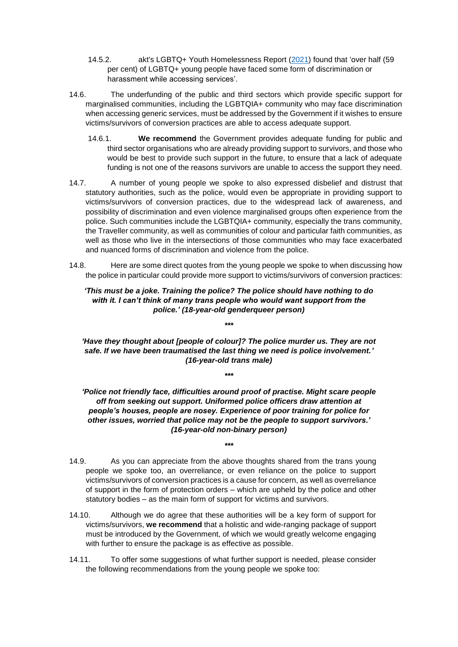- 14.5.2. akt's LGBTQ+ Youth Homelessness Report [\(2021\)](file:///C:/Users/Daminee/Documents/Policy%20Stuff/Policy%20Submissions/Consultations/Banning%20Conversion%20Therapy%20Government%20Consultation%2010Dec21/v) found that 'over half (59 per cent) of LGBTQ+ young people have faced some form of discrimination or harassment while accessing services'.
- 14.6. The underfunding of the public and third sectors which provide specific support for marginalised communities, including the LGBTQIA+ community who may face discrimination when accessing generic services, must be addressed by the Government if it wishes to ensure victims/survivors of conversion practices are able to access adequate support.
	- 14.6.1. **We recommend** the Government provides adequate funding for public and third sector organisations who are already providing support to survivors, and those who would be best to provide such support in the future, to ensure that a lack of adequate funding is not one of the reasons survivors are unable to access the support they need.
- 14.7. A number of young people we spoke to also expressed disbelief and distrust that statutory authorities, such as the police, would even be appropriate in providing support to victims/survivors of conversion practices, due to the widespread lack of awareness, and possibility of discrimination and even violence marginalised groups often experience from the police. Such communities include the LGBTQIA+ community, especially the trans community, the Traveller community, as well as communities of colour and particular faith communities, as well as those who live in the intersections of those communities who may face exacerbated and nuanced forms of discrimination and violence from the police.
- 14.8. Here are some direct quotes from the young people we spoke to when discussing how the police in particular could provide more support to victims/survivors of conversion practices:

## *'This must be a joke. Training the police? The police should have nothing to do with it. I can't think of many trans people who would want support from the police.' (18-year-old genderqueer person)*

*\*\*\**

*'Have they thought about [people of colour]? The police murder us. They are not safe. If we have been traumatised the last thing we need is police involvement.' (16-year-old trans male)*

*\*\*\**

*'Police not friendly face, difficulties around proof of practise. Might scare people off from seeking out support. Uniformed police officers draw attention at people's houses, people are nosey. Experience of poor training for police for other issues, worried that police may not be the people to support survivors.' (16-year-old non-binary person)*

- 14.9. As you can appreciate from the above thoughts shared from the trans young people we spoke too, an overreliance, or even reliance on the police to support victims/survivors of conversion practices is a cause for concern, as well as overreliance of support in the form of protection orders – which are upheld by the police and other statutory bodies – as the main form of support for victims and survivors.
- 14.10. Although we do agree that these authorities will be a key form of support for victims/survivors, **we recommend** that a holistic and wide-ranging package of support must be introduced by the Government, of which we would greatly welcome engaging with further to ensure the package is as effective as possible.
- 14.11. To offer some suggestions of what further support is needed, please consider the following recommendations from the young people we spoke too: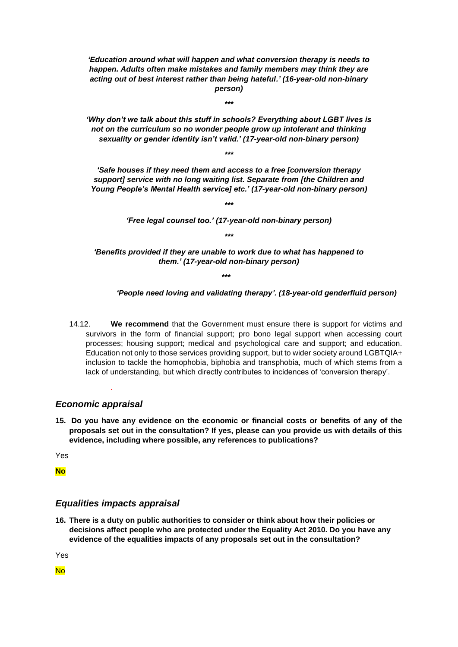*'Education around what will happen and what conversion therapy is needs to happen. Adults often make mistakes and family members may think they are acting out of best interest rather than being hateful.' (16-year-old non-binary person)*

*'Why don't we talk about this stuff in schools? Everything about LGBT lives is not on the curriculum so no wonder people grow up intolerant and thinking sexuality or gender identity isn't valid.' (17-year-old non-binary person)*

*\*\*\**

*\*\*\**

*'Safe houses if they need them and access to a free [conversion therapy support] service with no long waiting list. Separate from [the Children and Young People's Mental Health service] etc.' (17-year-old non-binary person)*

*\*\*\**

*'Free legal counsel too.' (17-year-old non-binary person) \*\*\**

*'Benefits provided if they are unable to work due to what has happened to them.' (17-year-old non-binary person)*

*\*\*\**

*'People need loving and validating therapy'. (18-year-old genderfluid person)*

14.12. **We recommend** that the Government must ensure there is support for victims and survivors in the form of financial support; pro bono legal support when accessing court processes; housing support; medical and psychological care and support; and education. Education not only to those services providing support, but to wider society around LGBTQIA+ inclusion to tackle the homophobia, biphobia and transphobia, much of which stems from a lack of understanding, but which directly contributes to incidences of 'conversion therapy'.

## *Economic appraisal*

*.* 

**15. Do you have any evidence on the economic or financial costs or benefits of any of the proposals set out in the consultation? If yes, please can you provide us with details of this evidence, including where possible, any references to publications?**

Yes

**No**

## *Equalities impacts appraisal*

**16. There is a duty on public authorities to consider or think about how their policies or decisions affect people who are protected under the Equality Act 2010. Do you have any evidence of the equalities impacts of any proposals set out in the consultation?** 

Yes

No